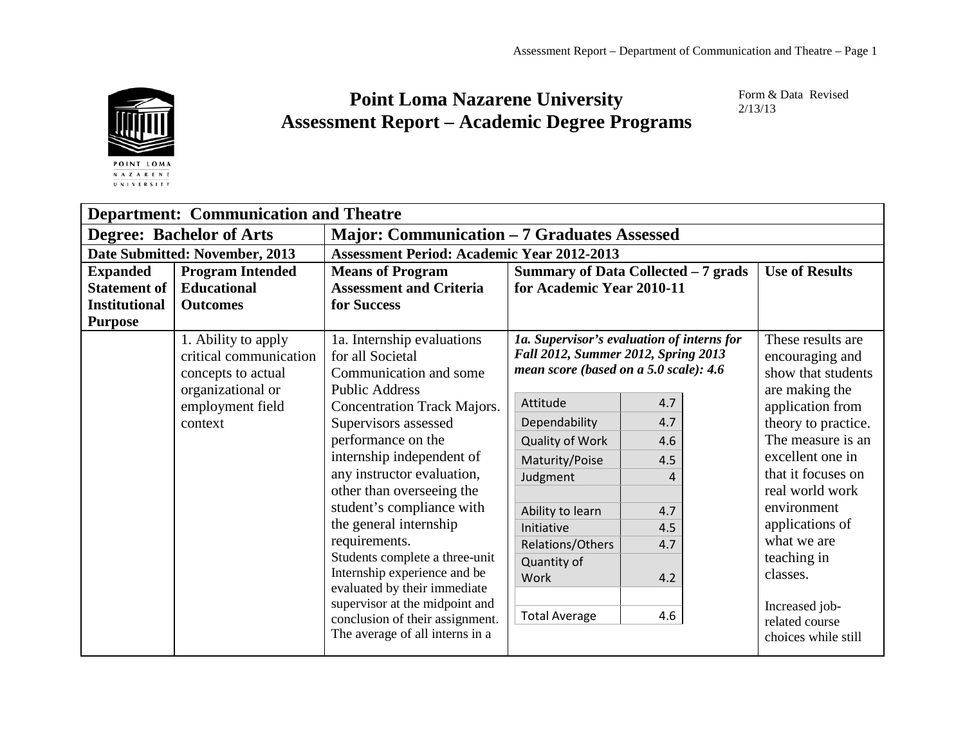

## **Point Loma Nazarene University Assessment Report – Academic Degree Programs**

Form & Data Revised 2/13/13

| <b>Department: Communication and Theatre</b> |                                                                                                                         |                                                                                                                                                                                                                                                                                                                                                                                                                                                                                                                                                                 |                                                                                                                                                                                                                                                                         |                                                                                                                                     |                                                                                                                                                                                                                                                                                                                                                  |  |  |  |
|----------------------------------------------|-------------------------------------------------------------------------------------------------------------------------|-----------------------------------------------------------------------------------------------------------------------------------------------------------------------------------------------------------------------------------------------------------------------------------------------------------------------------------------------------------------------------------------------------------------------------------------------------------------------------------------------------------------------------------------------------------------|-------------------------------------------------------------------------------------------------------------------------------------------------------------------------------------------------------------------------------------------------------------------------|-------------------------------------------------------------------------------------------------------------------------------------|--------------------------------------------------------------------------------------------------------------------------------------------------------------------------------------------------------------------------------------------------------------------------------------------------------------------------------------------------|--|--|--|
| <b>Degree: Bachelor of Arts</b>              |                                                                                                                         | <b>Major: Communication – 7 Graduates Assessed</b>                                                                                                                                                                                                                                                                                                                                                                                                                                                                                                              |                                                                                                                                                                                                                                                                         |                                                                                                                                     |                                                                                                                                                                                                                                                                                                                                                  |  |  |  |
| Date Submitted: November, 2013               |                                                                                                                         | <b>Assessment Period: Academic Year 2012-2013</b>                                                                                                                                                                                                                                                                                                                                                                                                                                                                                                               |                                                                                                                                                                                                                                                                         |                                                                                                                                     |                                                                                                                                                                                                                                                                                                                                                  |  |  |  |
| <b>Expanded</b>                              | <b>Program Intended</b>                                                                                                 | <b>Means of Program</b>                                                                                                                                                                                                                                                                                                                                                                                                                                                                                                                                         | Summary of Data Collected - 7 grads                                                                                                                                                                                                                                     | <b>Use of Results</b>                                                                                                               |                                                                                                                                                                                                                                                                                                                                                  |  |  |  |
| <b>Statement of</b>                          | <b>Educational</b>                                                                                                      | <b>Assessment and Criteria</b>                                                                                                                                                                                                                                                                                                                                                                                                                                                                                                                                  | for Academic Year 2010-11                                                                                                                                                                                                                                               |                                                                                                                                     |                                                                                                                                                                                                                                                                                                                                                  |  |  |  |
| <b>Institutional</b>                         | <b>Outcomes</b>                                                                                                         | for Success                                                                                                                                                                                                                                                                                                                                                                                                                                                                                                                                                     |                                                                                                                                                                                                                                                                         |                                                                                                                                     |                                                                                                                                                                                                                                                                                                                                                  |  |  |  |
| <b>Purpose</b>                               |                                                                                                                         |                                                                                                                                                                                                                                                                                                                                                                                                                                                                                                                                                                 |                                                                                                                                                                                                                                                                         |                                                                                                                                     |                                                                                                                                                                                                                                                                                                                                                  |  |  |  |
|                                              | 1. Ability to apply<br>critical communication<br>concepts to actual<br>organizational or<br>employment field<br>context | 1a. Internship evaluations<br>for all Societal<br>Communication and some<br><b>Public Address</b><br><b>Concentration Track Majors.</b><br>Supervisors assessed<br>performance on the<br>internship independent of<br>any instructor evaluation,<br>other than overseeing the<br>student's compliance with<br>the general internship<br>requirements.<br>Students complete a three-unit<br>Internship experience and be<br>evaluated by their immediate<br>supervisor at the midpoint and<br>conclusion of their assignment.<br>The average of all interns in a | Fall 2012, Summer 2012, Spring 2013<br>mean score (based on a 5.0 scale): 4.6<br>Attitude<br>Dependability<br><b>Quality of Work</b><br>Maturity/Poise<br>Judgment<br>Ability to learn<br>Initiative<br>Relations/Others<br>Quantity of<br>Work<br><b>Total Average</b> | 1a. Supervisor's evaluation of interns for<br>4.7<br>4.7<br>4.6<br>4.5<br>$\boldsymbol{\Lambda}$<br>4.7<br>4.5<br>4.7<br>4.2<br>4.6 | These results are<br>encouraging and<br>show that students<br>are making the<br>application from<br>theory to practice.<br>The measure is an<br>excellent one in<br>that it focuses on<br>real world work<br>environment<br>applications of<br>what we are<br>teaching in<br>classes.<br>Increased job-<br>related course<br>choices while still |  |  |  |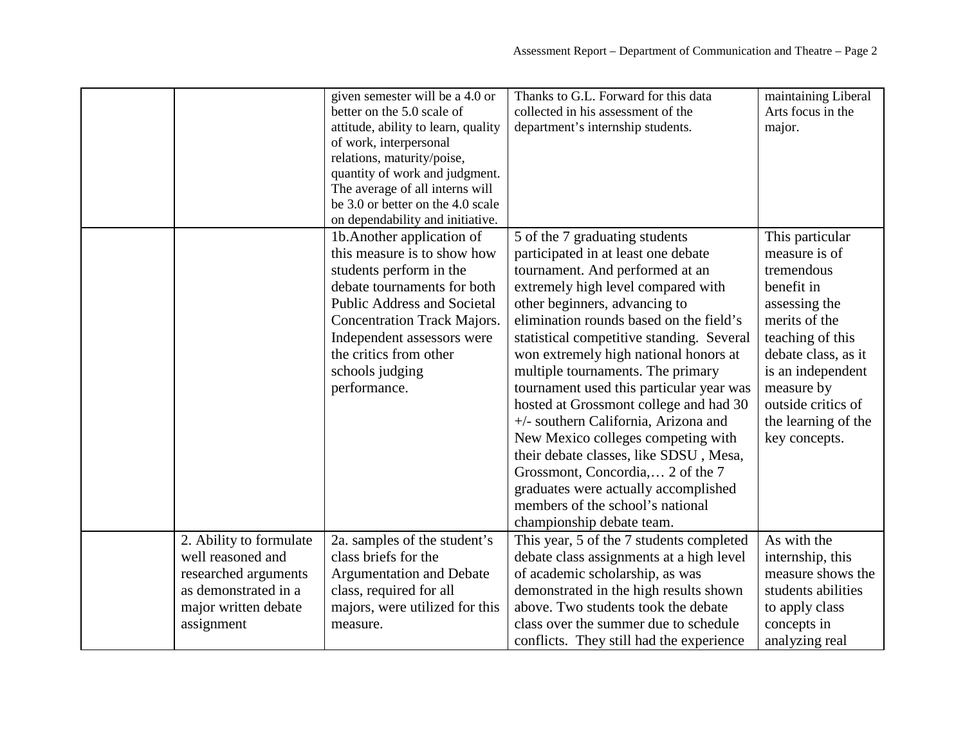| Thanks to G.L. Forward for this data<br>given semester will be a 4.0 or<br>maintaining Liberal<br>better on the 5.0 scale of<br>collected in his assessment of the<br>Arts focus in the<br>attitude, ability to learn, quality<br>department's internship students.<br>major.<br>of work, interpersonal<br>relations, maturity/poise,<br>quantity of work and judgment.<br>The average of all interns will<br>be 3.0 or better on the 4.0 scale<br>on dependability and initiative.<br>This particular<br>5 of the 7 graduating students<br>1b. Another application of<br>this measure is to show how<br>participated in at least one debate<br>measure is of<br>tremendous<br>students perform in the<br>tournament. And performed at an<br>debate tournaments for both<br>benefit in<br>extremely high level compared with<br><b>Public Address and Societal</b><br>other beginners, advancing to<br>assessing the<br>elimination rounds based on the field's<br>merits of the<br><b>Concentration Track Majors.</b><br>teaching of this<br>Independent assessors were<br>statistical competitive standing. Several<br>the critics from other<br>won extremely high national honors at<br>debate class, as it<br>schools judging<br>multiple tournaments. The primary<br>is an independent<br>performance.<br>tournament used this particular year was<br>measure by<br>outside critics of<br>hosted at Grossmont college and had 30<br>+/- southern California, Arizona and<br>the learning of the<br>New Mexico colleges competing with<br>key concepts. |
|--------------------------------------------------------------------------------------------------------------------------------------------------------------------------------------------------------------------------------------------------------------------------------------------------------------------------------------------------------------------------------------------------------------------------------------------------------------------------------------------------------------------------------------------------------------------------------------------------------------------------------------------------------------------------------------------------------------------------------------------------------------------------------------------------------------------------------------------------------------------------------------------------------------------------------------------------------------------------------------------------------------------------------------------------------------------------------------------------------------------------------------------------------------------------------------------------------------------------------------------------------------------------------------------------------------------------------------------------------------------------------------------------------------------------------------------------------------------------------------------------------------------------------------------------------------|
|                                                                                                                                                                                                                                                                                                                                                                                                                                                                                                                                                                                                                                                                                                                                                                                                                                                                                                                                                                                                                                                                                                                                                                                                                                                                                                                                                                                                                                                                                                                                                              |
|                                                                                                                                                                                                                                                                                                                                                                                                                                                                                                                                                                                                                                                                                                                                                                                                                                                                                                                                                                                                                                                                                                                                                                                                                                                                                                                                                                                                                                                                                                                                                              |
|                                                                                                                                                                                                                                                                                                                                                                                                                                                                                                                                                                                                                                                                                                                                                                                                                                                                                                                                                                                                                                                                                                                                                                                                                                                                                                                                                                                                                                                                                                                                                              |
|                                                                                                                                                                                                                                                                                                                                                                                                                                                                                                                                                                                                                                                                                                                                                                                                                                                                                                                                                                                                                                                                                                                                                                                                                                                                                                                                                                                                                                                                                                                                                              |
|                                                                                                                                                                                                                                                                                                                                                                                                                                                                                                                                                                                                                                                                                                                                                                                                                                                                                                                                                                                                                                                                                                                                                                                                                                                                                                                                                                                                                                                                                                                                                              |
|                                                                                                                                                                                                                                                                                                                                                                                                                                                                                                                                                                                                                                                                                                                                                                                                                                                                                                                                                                                                                                                                                                                                                                                                                                                                                                                                                                                                                                                                                                                                                              |
|                                                                                                                                                                                                                                                                                                                                                                                                                                                                                                                                                                                                                                                                                                                                                                                                                                                                                                                                                                                                                                                                                                                                                                                                                                                                                                                                                                                                                                                                                                                                                              |
|                                                                                                                                                                                                                                                                                                                                                                                                                                                                                                                                                                                                                                                                                                                                                                                                                                                                                                                                                                                                                                                                                                                                                                                                                                                                                                                                                                                                                                                                                                                                                              |
|                                                                                                                                                                                                                                                                                                                                                                                                                                                                                                                                                                                                                                                                                                                                                                                                                                                                                                                                                                                                                                                                                                                                                                                                                                                                                                                                                                                                                                                                                                                                                              |
|                                                                                                                                                                                                                                                                                                                                                                                                                                                                                                                                                                                                                                                                                                                                                                                                                                                                                                                                                                                                                                                                                                                                                                                                                                                                                                                                                                                                                                                                                                                                                              |
|                                                                                                                                                                                                                                                                                                                                                                                                                                                                                                                                                                                                                                                                                                                                                                                                                                                                                                                                                                                                                                                                                                                                                                                                                                                                                                                                                                                                                                                                                                                                                              |
|                                                                                                                                                                                                                                                                                                                                                                                                                                                                                                                                                                                                                                                                                                                                                                                                                                                                                                                                                                                                                                                                                                                                                                                                                                                                                                                                                                                                                                                                                                                                                              |
|                                                                                                                                                                                                                                                                                                                                                                                                                                                                                                                                                                                                                                                                                                                                                                                                                                                                                                                                                                                                                                                                                                                                                                                                                                                                                                                                                                                                                                                                                                                                                              |
|                                                                                                                                                                                                                                                                                                                                                                                                                                                                                                                                                                                                                                                                                                                                                                                                                                                                                                                                                                                                                                                                                                                                                                                                                                                                                                                                                                                                                                                                                                                                                              |
|                                                                                                                                                                                                                                                                                                                                                                                                                                                                                                                                                                                                                                                                                                                                                                                                                                                                                                                                                                                                                                                                                                                                                                                                                                                                                                                                                                                                                                                                                                                                                              |
|                                                                                                                                                                                                                                                                                                                                                                                                                                                                                                                                                                                                                                                                                                                                                                                                                                                                                                                                                                                                                                                                                                                                                                                                                                                                                                                                                                                                                                                                                                                                                              |
|                                                                                                                                                                                                                                                                                                                                                                                                                                                                                                                                                                                                                                                                                                                                                                                                                                                                                                                                                                                                                                                                                                                                                                                                                                                                                                                                                                                                                                                                                                                                                              |
|                                                                                                                                                                                                                                                                                                                                                                                                                                                                                                                                                                                                                                                                                                                                                                                                                                                                                                                                                                                                                                                                                                                                                                                                                                                                                                                                                                                                                                                                                                                                                              |
|                                                                                                                                                                                                                                                                                                                                                                                                                                                                                                                                                                                                                                                                                                                                                                                                                                                                                                                                                                                                                                                                                                                                                                                                                                                                                                                                                                                                                                                                                                                                                              |
|                                                                                                                                                                                                                                                                                                                                                                                                                                                                                                                                                                                                                                                                                                                                                                                                                                                                                                                                                                                                                                                                                                                                                                                                                                                                                                                                                                                                                                                                                                                                                              |
|                                                                                                                                                                                                                                                                                                                                                                                                                                                                                                                                                                                                                                                                                                                                                                                                                                                                                                                                                                                                                                                                                                                                                                                                                                                                                                                                                                                                                                                                                                                                                              |
|                                                                                                                                                                                                                                                                                                                                                                                                                                                                                                                                                                                                                                                                                                                                                                                                                                                                                                                                                                                                                                                                                                                                                                                                                                                                                                                                                                                                                                                                                                                                                              |
|                                                                                                                                                                                                                                                                                                                                                                                                                                                                                                                                                                                                                                                                                                                                                                                                                                                                                                                                                                                                                                                                                                                                                                                                                                                                                                                                                                                                                                                                                                                                                              |
| their debate classes, like SDSU, Mesa,                                                                                                                                                                                                                                                                                                                                                                                                                                                                                                                                                                                                                                                                                                                                                                                                                                                                                                                                                                                                                                                                                                                                                                                                                                                                                                                                                                                                                                                                                                                       |
| Grossmont, Concordia, 2 of the 7                                                                                                                                                                                                                                                                                                                                                                                                                                                                                                                                                                                                                                                                                                                                                                                                                                                                                                                                                                                                                                                                                                                                                                                                                                                                                                                                                                                                                                                                                                                             |
| graduates were actually accomplished                                                                                                                                                                                                                                                                                                                                                                                                                                                                                                                                                                                                                                                                                                                                                                                                                                                                                                                                                                                                                                                                                                                                                                                                                                                                                                                                                                                                                                                                                                                         |
| members of the school's national                                                                                                                                                                                                                                                                                                                                                                                                                                                                                                                                                                                                                                                                                                                                                                                                                                                                                                                                                                                                                                                                                                                                                                                                                                                                                                                                                                                                                                                                                                                             |
| championship debate team.                                                                                                                                                                                                                                                                                                                                                                                                                                                                                                                                                                                                                                                                                                                                                                                                                                                                                                                                                                                                                                                                                                                                                                                                                                                                                                                                                                                                                                                                                                                                    |
| As with the<br>2. Ability to formulate<br>2a. samples of the student's<br>This year, 5 of the 7 students completed                                                                                                                                                                                                                                                                                                                                                                                                                                                                                                                                                                                                                                                                                                                                                                                                                                                                                                                                                                                                                                                                                                                                                                                                                                                                                                                                                                                                                                           |
| well reasoned and<br>class briefs for the<br>debate class assignments at a high level<br>internship, this                                                                                                                                                                                                                                                                                                                                                                                                                                                                                                                                                                                                                                                                                                                                                                                                                                                                                                                                                                                                                                                                                                                                                                                                                                                                                                                                                                                                                                                    |
| researched arguments<br><b>Argumentation and Debate</b><br>of academic scholarship, as was<br>measure shows the                                                                                                                                                                                                                                                                                                                                                                                                                                                                                                                                                                                                                                                                                                                                                                                                                                                                                                                                                                                                                                                                                                                                                                                                                                                                                                                                                                                                                                              |
| as demonstrated in a<br>class, required for all<br>demonstrated in the high results shown<br>students abilities                                                                                                                                                                                                                                                                                                                                                                                                                                                                                                                                                                                                                                                                                                                                                                                                                                                                                                                                                                                                                                                                                                                                                                                                                                                                                                                                                                                                                                              |
| majors, were utilized for this<br>above. Two students took the debate<br>major written debate<br>to apply class                                                                                                                                                                                                                                                                                                                                                                                                                                                                                                                                                                                                                                                                                                                                                                                                                                                                                                                                                                                                                                                                                                                                                                                                                                                                                                                                                                                                                                              |
| class over the summer due to schedule<br>assignment<br>concepts in<br>measure.                                                                                                                                                                                                                                                                                                                                                                                                                                                                                                                                                                                                                                                                                                                                                                                                                                                                                                                                                                                                                                                                                                                                                                                                                                                                                                                                                                                                                                                                               |
| conflicts. They still had the experience<br>analyzing real                                                                                                                                                                                                                                                                                                                                                                                                                                                                                                                                                                                                                                                                                                                                                                                                                                                                                                                                                                                                                                                                                                                                                                                                                                                                                                                                                                                                                                                                                                   |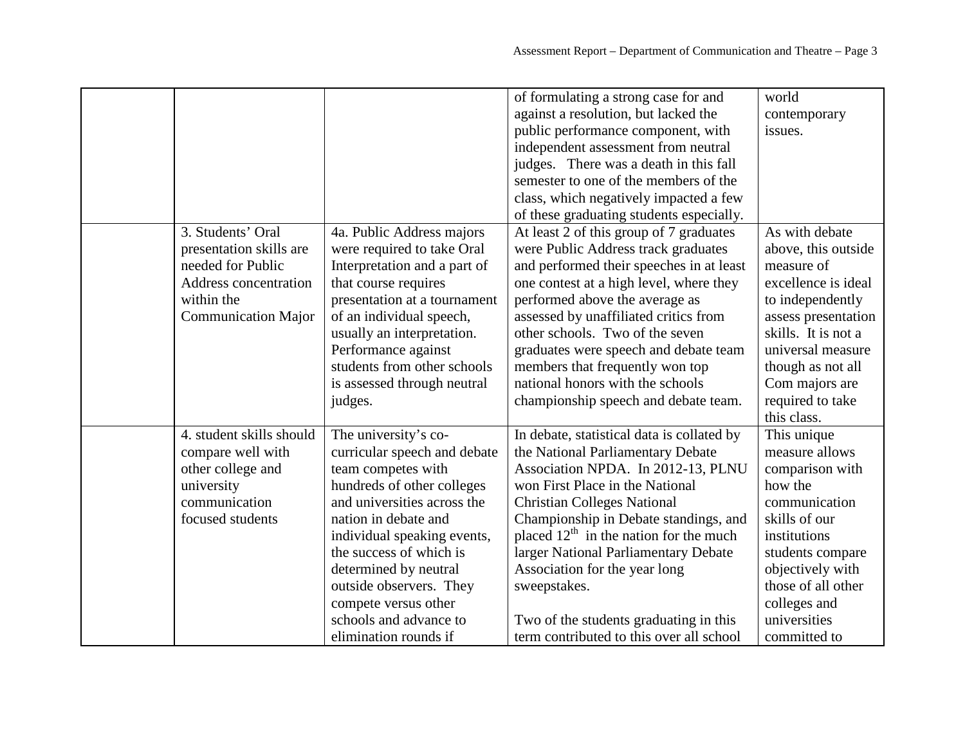|                            |                              | of formulating a strong case for and       | world               |
|----------------------------|------------------------------|--------------------------------------------|---------------------|
|                            |                              | against a resolution, but lacked the       | contemporary        |
|                            |                              | public performance component, with         | issues.             |
|                            |                              | independent assessment from neutral        |                     |
|                            |                              | judges. There was a death in this fall     |                     |
|                            |                              | semester to one of the members of the      |                     |
|                            |                              |                                            |                     |
|                            |                              | class, which negatively impacted a few     |                     |
|                            |                              | of these graduating students especially.   |                     |
| 3. Students' Oral          | 4a. Public Address majors    | At least 2 of this group of 7 graduates    | As with debate      |
| presentation skills are    | were required to take Oral   | were Public Address track graduates        | above, this outside |
| needed for Public          | Interpretation and a part of | and performed their speeches in at least   | measure of          |
| Address concentration      | that course requires         | one contest at a high level, where they    | excellence is ideal |
| within the                 | presentation at a tournament | performed above the average as             | to independently    |
| <b>Communication Major</b> | of an individual speech,     | assessed by unaffiliated critics from      | assess presentation |
|                            | usually an interpretation.   | other schools. Two of the seven            | skills. It is not a |
|                            | Performance against          | graduates were speech and debate team      | universal measure   |
|                            | students from other schools  | members that frequently won top            | though as not all   |
|                            | is assessed through neutral  | national honors with the schools           | Com majors are      |
|                            | judges.                      | championship speech and debate team.       | required to take    |
|                            |                              |                                            | this class.         |
| 4. student skills should   | The university's co-         | In debate, statistical data is collated by | This unique         |
| compare well with          | curricular speech and debate | the National Parliamentary Debate          | measure allows      |
| other college and          | team competes with           | Association NPDA. In 2012-13, PLNU         | comparison with     |
| university                 | hundreds of other colleges   | won First Place in the National            | how the             |
| communication              | and universities across the  | <b>Christian Colleges National</b>         | communication       |
| focused students           | nation in debate and         | Championship in Debate standings, and      | skills of our       |
|                            | individual speaking events,  | placed $12th$ in the nation for the much   | institutions        |
|                            | the success of which is      | larger National Parliamentary Debate       | students compare    |
|                            | determined by neutral        | Association for the year long              | objectively with    |
|                            | outside observers. They      | sweepstakes.                               | those of all other  |
|                            | compete versus other         |                                            | colleges and        |
|                            | schools and advance to       | Two of the students graduating in this     | universities        |
|                            | elimination rounds if        | term contributed to this over all school   | committed to        |
|                            |                              |                                            |                     |